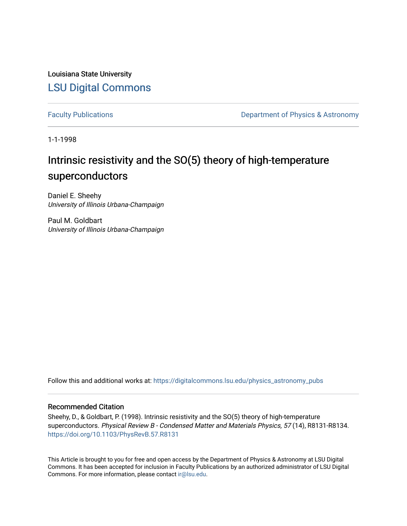Louisiana State University [LSU Digital Commons](https://digitalcommons.lsu.edu/)

[Faculty Publications](https://digitalcommons.lsu.edu/physics_astronomy_pubs) **Exercise 2 and Table 2 and Table 2 and Table 2 and Table 2 and Table 2 and Table 2 and Table 2 and Table 2 and Table 2 and Table 2 and Table 2 and Table 2 and Table 2 and Table 2 and Table 2 and Table** 

1-1-1998

## Intrinsic resistivity and the SO(5) theory of high-temperature superconductors

Daniel E. Sheehy University of Illinois Urbana-Champaign

Paul M. Goldbart University of Illinois Urbana-Champaign

Follow this and additional works at: [https://digitalcommons.lsu.edu/physics\\_astronomy\\_pubs](https://digitalcommons.lsu.edu/physics_astronomy_pubs?utm_source=digitalcommons.lsu.edu%2Fphysics_astronomy_pubs%2F5015&utm_medium=PDF&utm_campaign=PDFCoverPages) 

## Recommended Citation

Sheehy, D., & Goldbart, P. (1998). Intrinsic resistivity and the SO(5) theory of high-temperature superconductors. Physical Review B - Condensed Matter and Materials Physics, 57 (14), R8131-R8134. <https://doi.org/10.1103/PhysRevB.57.R8131>

This Article is brought to you for free and open access by the Department of Physics & Astronomy at LSU Digital Commons. It has been accepted for inclusion in Faculty Publications by an authorized administrator of LSU Digital Commons. For more information, please contact [ir@lsu.edu](mailto:ir@lsu.edu).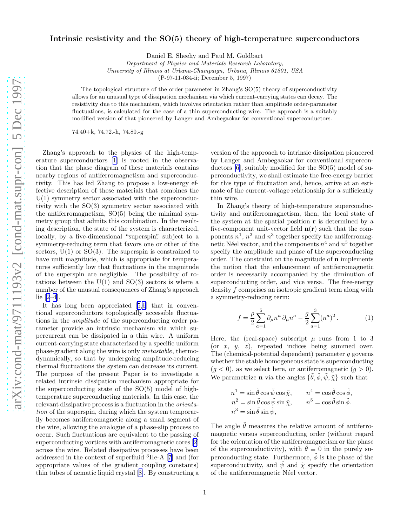## Intrinsic resistivity and the SO(5) theory of high-temperature superconductors

Daniel E. Sheehy and Paul M. Goldbart

Department of Physics and Materials Research Laboratory,

University of Illinois at Urbana-Champaign, Urbana, Illinois 61801, USA

(P-97-11-034-ii; December 5, 1997)

The topological structure of the order parameter in Zhang's SO(5) theory of superconductivity allows for an unusual type of dissipation mechanism via which current-carrying states can decay. The resistivity due to this mechanism, which involves orientation rather than amplitude order-parameter fluctuations, is calculated for the case of a thin superconducting wire. The approach is a suitably modified version of that pioneered by Langer and Ambegaokar for conventional superconductors.

74.40+k, 74.72.-h, 74.80.-g

Zhang's approach to the physics of the high-temperature superconductors [\[1](#page-4-0)] is rooted in the observation that the phase diagram of these materials contains nearby regions of antiferromagnetism and superconductivity. This has led Zhang to propose a low-energy effective description of these materials that combines the  $U(1)$  symmetry sector associated with the superconductivity with the SO(3) symmetry sector associated with the antiferromagnetism,  $SO(5)$  being the minimal symmetry group that admits this combination. In the resulting description, the state of the system is characterized, locally, by a five-dimensional "superspin", subject to a symmetry-reducing term that favors one or other of the sectors,  $U(1)$  or  $SO(3)$ . The superspin is constrained to have unit magnitude, which is appropriate for temperatures sufficiently low that fluctuations in the magnitude of the superspin are negligible. The possibility of rotations between the  $U(1)$  and  $SO(3)$  sectors is where a number of the unusual consequences of Zhang's approach lie [\[2–4](#page-4-0)].

It has long been appreciated[[5,6](#page-4-0)] that in conventional superconductors topologically accessible fluctuations in the amplitude of the superconducting order parameter provide an intrinsic mechanism via which supercurrent can be dissipated in a thin wire. A uniform current-carrying state characterized by a specific uniform phase-gradient along the wire is only metastable, thermodynamically, so that by undergoing amplitude-reducing thermal fluctuations the system can decrease its current. The purpose of the present Paper is to investigate a related intrinsic dissipation mechanism appropriate for the superconducting state of the SO(5) model of hightemperature superconducting materials. In this case, the relevant dissipative process is a fluctuation in the orientation of the superspin, during which the system temporarily becomes antiferromagnetic along a small segment of the wire, allowing the analogue of a phase-slip process to occur. Such fluctuations are equivalent to the passing of superconducting vortices with antiferromagnetic cores [\[2](#page-4-0)] across the wire. Related dissipative processes have been addressed in the context of superfluid <sup>3</sup>He-A [\[7](#page-4-0)] and (for appropriate values of the gradient coupling constants) thin tubes of nematic liquid crystal[[8\]](#page-4-0). By constructing a

version of the approach to intrinsic dissipation pioneered by Langer and Ambegaokar for conventional superconductors [\[6](#page-4-0)], suitably modified for the SO(5) model of superconductivity, we shall estimate the free-energy barrier for this type of fluctuation and, hence, arrive at an estimate of the current-voltage relationship for a sufficiently thin wire.

In Zhang's theory of high-temperature superconductivity and antiferromagnetism, then, the local state of the system at the spatial position r is determined by a five-component unit-vector field  $n(r)$  such that the components  $n^1$ ,  $n^2$  and  $n^3$  together specify the antiferromagnetic Néel vector, and the components  $n^4$  and  $n^5$  together specify the amplitude and phase of the superconducting order. The constraint on the magnitude of n implements the notion that the enhancement of antiferromagnetic order is necessarily accompanied by the diminution of superconducting order, and vice versa. The free-energy density f comprises an isotropic gradient term along with a symmetry-reducing term:

$$
f = \frac{\rho}{2} \sum_{a=1}^{5} \partial_{\mu} n^{a} \partial_{\mu} n^{a} - \frac{g}{2} \sum_{a=1}^{3} (n^{a})^{2}.
$$
 (1)

Here, the (real-space) subscript  $\mu$  runs from 1 to 3 (or  $x, y, z$ ), repeated indices being summed over. The (chemical-potential dependent) parameter g governs whether the stable homogeneous state is superconducting  $(g < 0)$ , as we select here, or antiferromagnetic  $(g > 0)$ . We parametrize **n** via the angles  $\{\tilde{\theta}, \tilde{\phi}, \tilde{\psi}, \tilde{\chi}\}$  such that

$$
\begin{aligned} n^1&=\sin\tilde{\theta}\cos\tilde{\psi}\cos\tilde{\chi},\qquad n^4=\cos\tilde{\theta}\cos\tilde{\phi},\\ n^2&=\sin\tilde{\theta}\cos\tilde{\psi}\sin\tilde{\chi},\qquad n^5=\cos\tilde{\theta}\sin\tilde{\phi}.\\ n^3&=\sin\tilde{\theta}\sin\tilde{\psi}, \end{aligned}
$$

The angle  $\tilde{\theta}$  measures the relative amount of antiferromagnetic versus superconducting order (without regard for the orientation of the antiferromagnetism or the phase of the superconductivity), with  $\tilde{\theta} \equiv 0$  in the purely superconducting state. Furthermore,  $\tilde{\phi}$  is the phase of the superconductivity, and  $\psi$  and  $\tilde{\chi}$  specify the orientation of the antiferromagnetic Néel vector.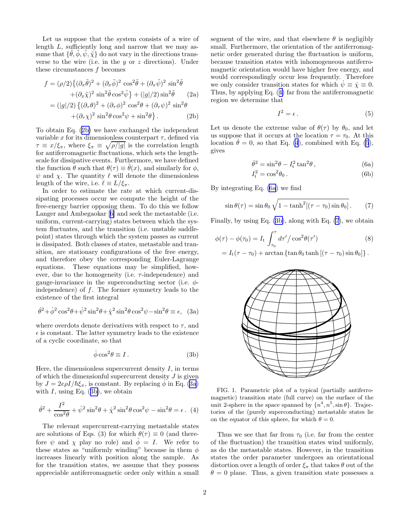<span id="page-2-0"></span>Let us suppose that the system consists of a wire of length L, sufficiently long and narrow that we may assume that  $\{\tilde{\theta}, \tilde{\phi}, \tilde{\psi}, \tilde{\chi}\}$  do not vary in the directions transverse to the wire (i.e. in the  $y$  or  $z$  directions). Under these circumstances  $f$  becomes

$$
f = (\rho/2)\{(\partial_x \tilde{\theta})^2 + (\partial_x \tilde{\phi})^2 \cos^2 \tilde{\theta} + (\partial_x \tilde{\psi})^2 \sin^2 \tilde{\theta} + (\partial_x \tilde{\chi})^2 \sin^2 \tilde{\theta} \cos^2 \tilde{\psi}\} + (|g|/2) \sin^2 \tilde{\theta}
$$
 (2a)

$$
= (|g|/2) \{ (\partial_\tau \theta)^2 + (\partial_\tau \phi)^2 \cos^2 \theta + (\partial_\tau \psi)^2 \sin^2 \theta + (\partial_\tau \chi)^2 \sin^2 \theta \cos^2 \psi + \sin^2 \theta \}.
$$
 (2b)

To obtain Eq. (2b) we have exchanged the independent variable x for its dimensionless counterpart  $\tau$ , defined via  $\tau \equiv x/\xi_{\pi}$ , where  $\xi_{\pi} \equiv \sqrt{\rho/|g|}$  is the correlation length for antiferromagnetic fluctuations, which sets the lengthscale for dissipative events. Furthermore, we have defined the function  $\theta$  such that  $\theta(\tau) \equiv \theta(x)$ , and similarly for  $\phi$ ,  $\psi$  and  $\chi$ . The quantity  $\ell$  will denote the dimensionless length of the wire, i.e.  $\ell \equiv L/\xi_{\pi}$ .

In order to estimate the rate at which current-dissipating processes occur we compute the height of the free-energy barrier opposing them. To do this we follow Langer and Ambegaokar[[6\]](#page-4-0) and seek the metastable (i.e. uniform, current-carrying) states between which the system fluctuates, and the transition (i.e. unstable saddlepoint) states through which the system passes as current is dissipated. Both classes of states, metastable and transition, are stationary configurations of the free energy, and therefore obey the corresponding Euler-Lagrange equations. These equations may be simplified, however, due to the homogeneity (i.e.  $\tau$ -independence) and gauge-invariance in the superconducting sector (i.e.  $\phi$ independence) of  $f$ . The former symmetry leads to the existence of the first integral

$$
\dot{\theta}^2 + \dot{\phi}^2 \cos^2 \theta + \dot{\psi}^2 \sin^2 \theta + \dot{\chi}^2 \sin^2 \theta \cos^2 \psi - \sin^2 \theta \equiv \epsilon, \quad (3a)
$$

where overdots denote derivatives with respect to  $\tau$ , and  $\epsilon$  is constant. The latter symmetry leads to the existence of a cyclic coordinate, so that

$$
\dot{\phi}\cos^2\theta \equiv I. \tag{3b}
$$

Here, the dimensionless supercurrent density  $I$ , in terms of which the dimensionful supercurrent density  $J$  is given by  $J = 2e\rho I/\hbar \xi_{\pi}$ , is constant. By replacing  $\dot{\phi}$  in Eq. (3a) with  $I$ , using Eq. (3b), we obtain

$$
\dot{\theta}^2 + \frac{I^2}{\cos^2 \theta} + \dot{\psi}^2 \sin^2 \theta + \dot{\chi}^2 \sin^2 \theta \cos^2 \psi - \sin^2 \theta = \epsilon. \tag{4}
$$

The relevant supercurrent-carrying metastable states are solutions of Eqs. (3) for which  $\theta(\tau) \equiv 0$  (and therefore  $\psi$  and  $\chi$  play no role) and  $\dot{\phi} = I$ . We refer to these states as "uniformly winding" because in them  $\phi$ increases linearly with position along the sample. As for the transition states, we assume that they possess appreciable antiferromagnetic order only within a small segment of the wire, and that elsewhere  $\theta$  is negligibly small. Furthermore, the orientation of the antiferromagnetic order generated during the fluctuation is uniform, because transition states with inhomogeneous antiferromagnetic orientation would have higher free energy, and would correspondingly occur less frequently. Therefore we only consider transition states for which  $\psi \equiv \dot{\chi} \equiv 0$ . Thus, by applying Eq. (4) far from the antiferromagnetic region we determine that

$$
I^2 = \epsilon \,. \tag{5}
$$

Let us denote the extreme value of  $\theta(\tau)$  by  $\theta_0$ , and let us suppose that it occurs at the location  $\tau = \tau_0$ . At this location  $\dot{\theta} = 0$ , so that Eq. (4), combined with Eq. (5), gives

$$
\dot{\theta}^2 = \sin^2 \theta - I_t^2 \tan^2 \theta, \qquad (6a)
$$

$$
I_t^2 = \cos^2 \theta_0. \tag{6b}
$$

By integrating Eq. (6a) we find

$$
\sin \theta(\tau) = \sin \theta_0 \sqrt{1 - \tanh^2[(\tau - \tau_0)\sin \theta_0]}.
$$
 (7)

Finally, by using Eq. (3b), along with Eq. (7), we obtain

$$
\phi(\tau) - \phi(\tau_0) = I_t \int_{\tau_0}^{\tau} d\tau' / \cos^2 \theta(\tau')
$$
\n(8)

$$
= I_{\rm t}(\tau-\tau_0)+\arctan\left\{\tan\theta_0\tanh\left[(\tau-\tau_0)\sin\theta_0\right]\right\}.
$$



FIG. 1. Parametric plot of a typical (partially antiferromagnetic) transition state (full curve) on the surface of the unit 2-sphere in the space spanned by  $\{n^4, n^5, \sin \theta\}$ . Trajectories of the (purely superconducting) metastable states lie on the equator of this sphere, for which  $\theta = 0$ .

Thus we see that far from  $\tau_0$  (i.e. far from the center of the fluctuation) the transition states wind uniformly, as do the metastable states. However, in the transition states the order parameter undergoes an orientational distortion over a length of order  $\xi_{\pi}$  that takes  $\theta$  out of the  $\theta = 0$  plane. Thus, a given transition state possesses a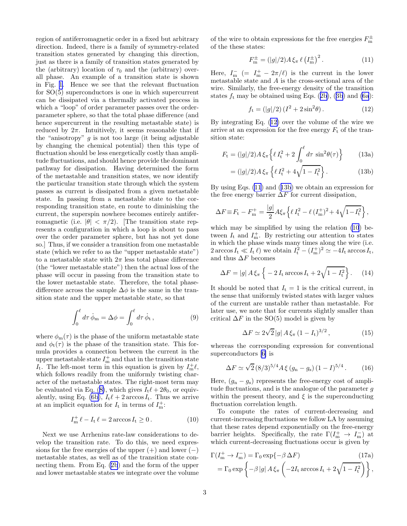<span id="page-3-0"></span>region of antiferromagnetic order in a fixed but arbitrary direction. Indeed, there is a family of symmetry-related transition states generated by changing this direction, just as there is a family of transition states generated by the (arbitrary) location of  $\tau_0$  and the (arbitrary) overall phase. An example of a transition state is shown in Fig. [1](#page-2-0). Hence we see that the relevant fluctuation for SO(5) superconductors is one in which supercurrent can be dissipated via a thermally activated process in which a "loop" of order parameter passes over the orderparameter sphere, so that the total phase difference (and hence supercurrent in the resulting metastable state) is reduced by  $2\pi$ . Intuitively, it seems reasonable that if the "anisotropy"  $q$  is not too large (it being adjustable by changing the chemical potential) then this type of fluctuation should be less energetically costly than amplitude fluctuations, and should hence provide the dominant pathway for dissipation. Having determined the form of the metastable and transition states, we now identify the particular transition state through which the system passes as current is dissipated from a given metastable state. In passing from a metastable state to the corresponding transition state, en route to diminishing the current, the superspin nowhere becomes entirely antiferromagnetic (i.e.  $|\theta| < \pi/2$ ). [The transition state represents a configuration in which a loop is about to pass over the order parameter sphere, but has not yet done so.] Thus, if we consider a transition from one metastable state (which we refer to as the "upper metastable state") to a metastable state with  $2\pi$  less total phase difference (the "lower metastable state") then the actual loss of the phase will occur in passing from the transition state to the lower metastable state. Therefore, the total phasedifference across the sample  $\Delta\phi$  is the same in the transition state and the upper metastable state, so that

$$
\int_0^\ell d\tau \dot{\phi}_m = \Delta \phi = \int_0^\ell d\tau \dot{\phi}_t , \qquad (9)
$$

where  $\phi_{m}(\tau)$  is the phase of the uniform metastable state and  $\phi_t(\tau)$  is the phase of the transition state. This formula provides a connection between the current in the upper metastable state  $I_{\text{m}}^{+}$  and that in the transition state  $I_t$ . The left-most term in this equation is given by  $I_m^+ \ell$ , which follows readily from the uniformly twisting character of the metastable states. The right-most term may beevaluated via Eq. ([8\)](#page-2-0), which gives  $I_t\ell + 2\theta_0$ , or equiv-alently, using Eq. [\(6b\)](#page-2-0),  $I_t \ell + 2 \arccos I_t$ . Thus we arrive at an implicit equation for  $I_t$  in terms of  $I_m^+$ :

$$
I_{\rm m}^+ \ell - I_{\rm t} \ell = 2 \arccos I_{\rm t} \ge 0. \tag{10}
$$

Next we use Arrhenius rate-law considerations to develop the transition rate. To do this, we need expressions for the free energies of the upper  $(+)$  and lower  $(-)$ metastable states, as well as of the transition state connecting them. From Eq.([2b](#page-2-0)) and the form of the upper and lower metastable states we integrate over the volume

of the wire to obtain expressions for the free energies  $F_{\text{m}}^{\pm}$ of the these states:

$$
F_{\rm m}^{\pm} = (|g|/2) A \, \xi_{\pi} \, \ell \left(I_{\rm m}^{\pm}\right)^2. \tag{11}
$$

Here,  $I_{\text{m}}^-$  (=  $I_{\text{m}}^+$  –  $2\pi/\ell$ ) is the current in the lower metastable state and A is the cross-sectional area of the wire. Similarly, the free-energy density of the transition states $f_t$  may be obtained using Eqs. ([2b](#page-2-0)), ([3b](#page-2-0)) and [\(6a](#page-2-0)):

$$
f_{t} = (|g|/2) (I^{2} + 2\sin^{2}\theta). \tag{12}
$$

By integrating Eq. (12) over the volume of the wire we arrive at an expression for the free energy  $F_t$  of the transition state:

$$
F_{\rm t} = (|g|/2)A \xi_{\pi} \left\{ \ell \, I_{\rm t}^2 + 2 \int_0^{\ell} d\tau \, \sin^2(\theta) \right\} \tag{13a}
$$

$$
= (|g|/2)A \xi_{\pi} \left\{ \ell I_t^2 + 4\sqrt{1 - I_t^2} \right\}.
$$
 (13b)

By using Eqs. (11) and (13b) we obtain an expression for the free energy barrier  $\Delta F$  for current dissipation,

$$
\Delta F \equiv F_{\rm t} - F_{\rm m}^+ = \frac{|g|}{2} A \xi_{\pi} \left\{ \ell I_{\rm t}^2 - \ell (I_{\rm m}^+)^2 + 4 \sqrt{1 - I_{\rm t}^2} \right\},
$$

which may be simplified by using the relation  $(10)$  between  $I_t$  and  $I_m^+$ . By restricting our attention to states in which the phase winds many times along the wire (i.e.  $2 \arccos I_t \ll I_t \ell$  we obtain  $I_t^2 - (I_m^+)^2 \simeq -4I_t \arccos I_t$ , and thus  $\Delta F$  becomes

$$
\Delta F = |g| A \xi_{\pi} \left\{ -2 I_{\mathrm{t}} \arccos I_{\mathrm{t}} + 2 \sqrt{1 - I_{\mathrm{t}}^2} \right\}. \tag{14}
$$

It should be noted that  $I_t = 1$  is the critical current, in the sense that uniformly twisted states with larger values of the current are unstable rather than metastable. For later use, we note that for currents slightly smaller than critical  $\Delta F$  in the SO(5) model is given by

$$
\Delta F \simeq 2\sqrt{2} |g| A \xi_{\pi} (1 - I_{\rm t})^{3/2}, \qquad (15)
$$

whereas the corresponding expression for conventional superconductors[[6\]](#page-4-0) is

$$
\Delta F \simeq \sqrt{2} \left( 8/3 \right)^{5/4} A \, \xi \left( g_n - g_s \right) \left( 1 - I \right)^{5/4} . \tag{16}
$$

Here,  $(g_n - g_s)$  represents the free-energy cost of amplitude fluctuations, and is the analogue of the parameter  $q$ within the present theory, and  $\xi$  is the superconducting fluctuation correlation length.

To compute the rates of current-decreasing and current-increasing fluctuations we follow LA by assuming that these rates depend exponentially on the free-energy barrier heights. Specifically, the rate  $\Gamma(I_{\rm m}^+ \to I_{\rm m}^-)$  at which current-decreasing fluctuations occur is given by

$$
\Gamma(I_{\rm m}^+ \to I_{\rm m}^-) = \Gamma_0 \exp\{-\beta \Delta F\} \qquad (17a)
$$
\n
$$
= \Gamma_0 \exp\left\{-\beta |g| A \xi_{\pi} \left(-2I_{\rm t} \arccos I_{\rm t} + 2\sqrt{1 - I_{\rm t}^2}\right)\right\},
$$